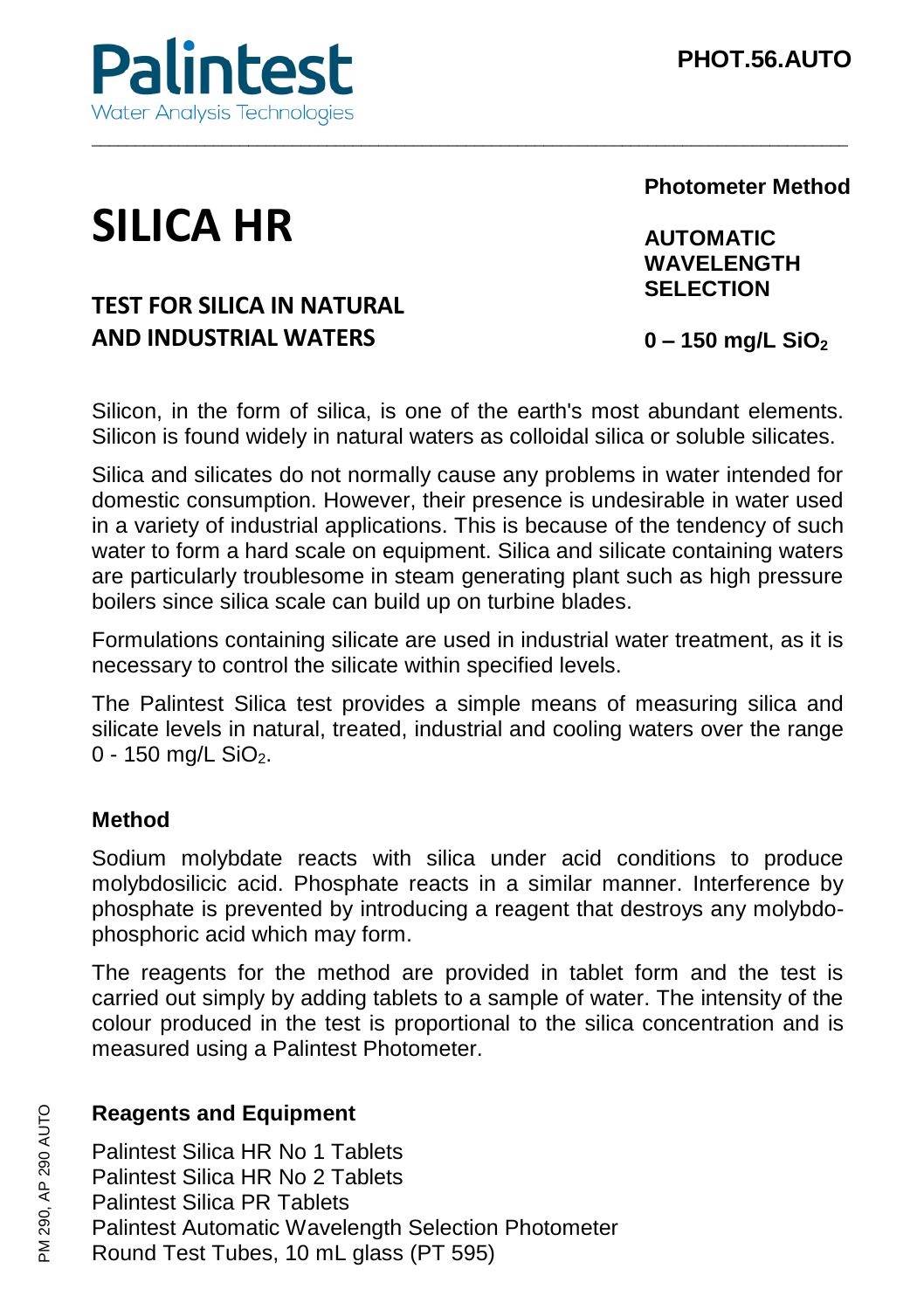

# **SILICA HR**

# **TEST FOR SILICA IN NATURAL AND INDUSTRIAL WATERS**

**Photometer Method**

**AUTOMATIC WAVELENGTH SELECTION**

**0 – 150 mg/L SiO<sup>2</sup>**

Silicon, in the form of silica, is one of the earth's most abundant elements. Silicon is found widely in natural waters as colloidal silica or soluble silicates.

\_\_\_\_\_\_\_\_\_\_\_\_\_\_\_\_\_\_\_\_\_\_\_\_\_\_\_\_\_\_\_\_\_\_\_\_\_\_\_\_\_\_\_\_\_\_\_\_\_\_\_\_\_\_\_\_\_\_\_\_\_\_\_\_\_\_\_\_\_\_\_\_\_\_\_\_\_\_\_\_\_\_\_\_\_\_\_

Silica and silicates do not normally cause any problems in water intended for domestic consumption. However, their presence is undesirable in water used in a variety of industrial applications. This is because of the tendency of such water to form a hard scale on equipment. Silica and silicate containing waters are particularly troublesome in steam generating plant such as high pressure boilers since silica scale can build up on turbine blades.

Formulations containing silicate are used in industrial water treatment, as it is necessary to control the silicate within specified levels.

The Palintest Silica test provides a simple means of measuring silica and silicate levels in natural, treated, industrial and cooling waters over the range  $0 - 150$  mg/L SiO<sub>2</sub>.

## **Method**

Sodium molybdate reacts with silica under acid conditions to produce molybdosilicic acid. Phosphate reacts in a similar manner. Interference by phosphate is prevented by introducing a reagent that destroys any molybdophosphoric acid which may form.

The reagents for the method are provided in tablet form and the test is carried out simply by adding tablets to a sample of water. The intensity of the colour produced in the test is proportional to the silica concentration and is measured using a Palintest Photometer.

### **Reagents and Equipment**

Palintest Silica HR No 1 Tablets Palintest Silica HR No 2 Tablets Palintest Silica PR Tablets Palintest Automatic Wavelength Selection Photometer Round Test Tubes, 10 mL glass (PT 595)